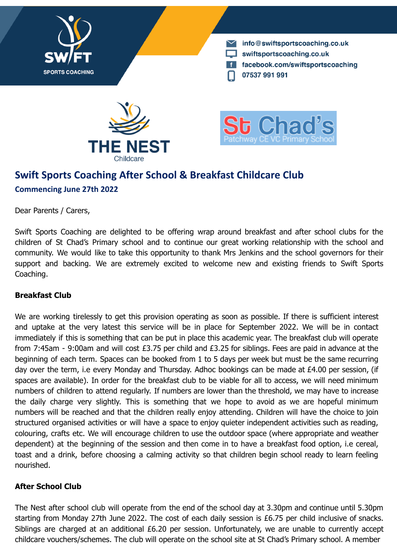

info@swiftsportscoaching.co.uk swiftsportscoaching.co.uk facebook.com/swiftsportscoaching 07537 991 991





# **Swift Sports Coaching After School & Breakfast Childcare Club Commencing June 27th 2022**

Dear Parents / Carers,

Swift Sports Coaching are delighted to be offering wrap around breakfast and after school clubs for the children of St Chad's Primary school and to continue our great working relationship with the school and community. We would like to take this opportunity to thank Mrs Jenkins and the school governors for their support and backing. We are extremely excited to welcome new and existing friends to Swift Sports Coaching.

## **Breakfast Club**

We are working tirelessly to get this provision operating as soon as possible. If there is sufficient interest and uptake at the very latest this service will be in place for September 2022. We will be in contact immediately if this is something that can be put in place this academic year. The breakfast club will operate from 7:45am - 9:00am and will cost £3.75 per child and £3.25 for siblings. Fees are paid in advance at the beginning of each term. Spaces can be booked from 1 to 5 days per week but must be the same recurring day over the term, i.e every Monday and Thursday. Adhoc bookings can be made at £4.00 per session, (if spaces are available). In order for the breakfast club to be viable for all to access, we will need minimum numbers of children to attend regularly. If numbers are lower than the threshold, we may have to increase the daily charge very slightly. This is something that we hope to avoid as we are hopeful minimum numbers will be reached and that the children really enjoy attending. Children will have the choice to join structured organised activities or will have a space to enjoy quieter independent activities such as reading, colouring, crafts etc. We will encourage children to use the outdoor space (where appropriate and weather dependent) at the beginning of the session and then come in to have a breakfast food option, i.e cereal, toast and a drink, before choosing a calming activity so that children begin school ready to learn feeling nourished.

## **After School Club**

The Nest after school club will operate from the end of the school day at 3.30pm and continue until 5.30pm starting from Monday 27th June 2022. The cost of each daily session is £6.75 per child inclusive of snacks. Siblings are charged at an additional £6.20 per session. Unfortunately, we are unable to currently accept childcare vouchers/schemes. The club will operate on the school site at St Chad's Primary school. A member